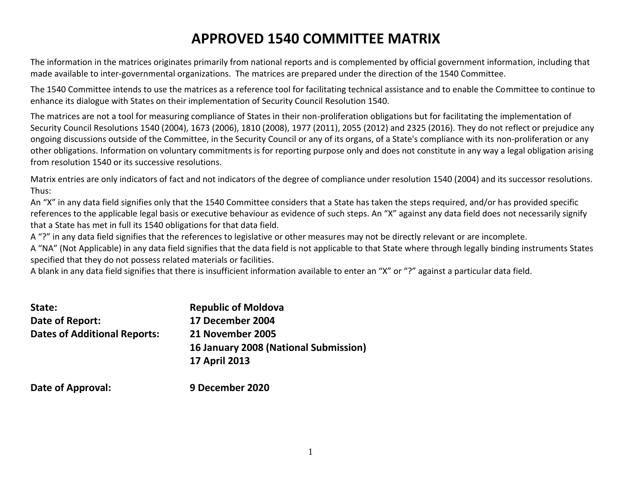# **APPROVED 1540 COMMITTEE MATRIX**

The information in the matrices originates primarily from national reports and is complemented by official government information, including that made available to inter-governmental organizations. The matrices are prepared under the direction of the 1540 Committee.

The 1540 Committee intends to use the matrices as a reference tool for facilitating technical assistance and to enable the Committee to continue to enhance its dialogue with States on their implementation of Security Council Resolution 1540.

The matrices are not a tool for measuring compliance of States in their non-proliferation obligations but for facilitating the implementation of Security Council Resolutions 1540 (2004), 1673 (2006), 1810 (2008), 1977 (2011), 2055 (2012) and 2325 (2016). They do not reflect or prejudice any ongoing discussions outside of the Committee, in the Security Council or any of its organs, of a State's compliance with its non-proliferation or any other obligations. Information on voluntary commitments is for reporting purpose only and does not constitute in any way a legal obligation arising from resolution 1540 or its successive resolutions.

Matrix entries are only indicators of fact and not indicators of the degree of compliance under resolution 1540 (2004) and its successor resolutions. Thus:

An "X" in any data field signifies only that the 1540 Committee considers that a State has taken the steps required, and/or has provided specific references to the applicable legal basis or executive behaviour as evidence of such steps. An "X" against any data field does not necessarily signify that a State has met in full its 1540 obligations for that data field.

A "?" in any data field signifies that the references to legislative or other measures may not be directly relevant or are incomplete.

A "NA" (Not Applicable) in any data field signifies that the data field is not applicable to that State where through legally binding instruments States specified that they do not possess related materials or facilities.

A blank in any data field signifies that there is insufficient information available to enter an "X" or "?" against a particular data field.

| State:                              | <b>Republic of Moldova</b>            |
|-------------------------------------|---------------------------------------|
| Date of Report:                     | 17 December 2004                      |
| <b>Dates of Additional Reports:</b> | 21 November 2005                      |
|                                     | 16 January 2008 (National Submission) |
|                                     | <b>17 April 2013</b>                  |
| Date of Approval:                   | 9 December 2020                       |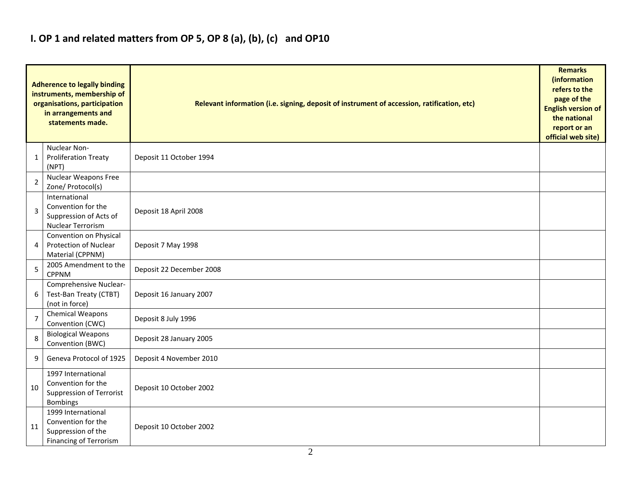### **I. OP 1 and related matters from OP 5, OP 8 (a), (b), (c) and OP10**

|                | <b>Adherence to legally binding</b><br>instruments, membership of<br>organisations, participation<br>in arrangements and<br>statements made. | Relevant information (i.e. signing, deposit of instrument of accession, ratification, etc) |  |  |  |  |  |  |  |  |
|----------------|----------------------------------------------------------------------------------------------------------------------------------------------|--------------------------------------------------------------------------------------------|--|--|--|--|--|--|--|--|
| 1              | Nuclear Non-<br><b>Proliferation Treaty</b><br>(NPT)                                                                                         | Deposit 11 October 1994                                                                    |  |  |  |  |  |  |  |  |
| 2              | <b>Nuclear Weapons Free</b><br>Zone/ Protocol(s)                                                                                             |                                                                                            |  |  |  |  |  |  |  |  |
| 3              | International<br>Convention for the<br>Suppression of Acts of<br>Nuclear Terrorism                                                           | Deposit 18 April 2008                                                                      |  |  |  |  |  |  |  |  |
| 4              | Convention on Physical<br><b>Protection of Nuclear</b><br>Material (CPPNM)                                                                   | Deposit 7 May 1998                                                                         |  |  |  |  |  |  |  |  |
| 5              | 2005 Amendment to the<br><b>CPPNM</b>                                                                                                        | Deposit 22 December 2008                                                                   |  |  |  |  |  |  |  |  |
| 6              | Comprehensive Nuclear-<br>Test-Ban Treaty (CTBT)<br>(not in force)                                                                           | Deposit 16 January 2007                                                                    |  |  |  |  |  |  |  |  |
| $\overline{7}$ | Chemical Weapons<br>Convention (CWC)                                                                                                         | Deposit 8 July 1996                                                                        |  |  |  |  |  |  |  |  |
| 8              | <b>Biological Weapons</b><br>Convention (BWC)                                                                                                | Deposit 28 January 2005                                                                    |  |  |  |  |  |  |  |  |
| 9              | Geneva Protocol of 1925                                                                                                                      | Deposit 4 November 2010                                                                    |  |  |  |  |  |  |  |  |
| 10             | 1997 International<br>Convention for the<br><b>Suppression of Terrorist</b><br><b>Bombings</b>                                               | Deposit 10 October 2002                                                                    |  |  |  |  |  |  |  |  |
| 11             | 1999 International<br>Convention for the<br>Suppression of the<br><b>Financing of Terrorism</b>                                              | Deposit 10 October 2002                                                                    |  |  |  |  |  |  |  |  |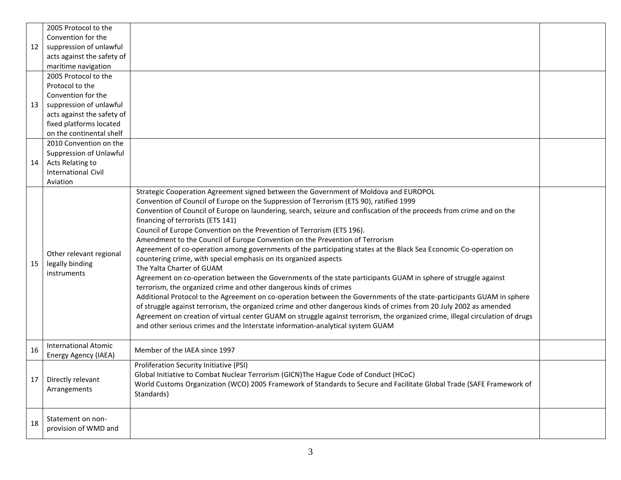| 2005 Protocol to the                                                                                                                                                                                                                                                                                                                                                                                                                                                                                                                                                                                      |
|-----------------------------------------------------------------------------------------------------------------------------------------------------------------------------------------------------------------------------------------------------------------------------------------------------------------------------------------------------------------------------------------------------------------------------------------------------------------------------------------------------------------------------------------------------------------------------------------------------------|
| Convention for the                                                                                                                                                                                                                                                                                                                                                                                                                                                                                                                                                                                        |
| suppression of unlawful<br>12                                                                                                                                                                                                                                                                                                                                                                                                                                                                                                                                                                             |
| acts against the safety of                                                                                                                                                                                                                                                                                                                                                                                                                                                                                                                                                                                |
| maritime navigation                                                                                                                                                                                                                                                                                                                                                                                                                                                                                                                                                                                       |
| 2005 Protocol to the                                                                                                                                                                                                                                                                                                                                                                                                                                                                                                                                                                                      |
| Protocol to the                                                                                                                                                                                                                                                                                                                                                                                                                                                                                                                                                                                           |
| Convention for the                                                                                                                                                                                                                                                                                                                                                                                                                                                                                                                                                                                        |
| suppression of unlawful<br>13                                                                                                                                                                                                                                                                                                                                                                                                                                                                                                                                                                             |
| acts against the safety of                                                                                                                                                                                                                                                                                                                                                                                                                                                                                                                                                                                |
| fixed platforms located                                                                                                                                                                                                                                                                                                                                                                                                                                                                                                                                                                                   |
| on the continental shelf                                                                                                                                                                                                                                                                                                                                                                                                                                                                                                                                                                                  |
| 2010 Convention on the                                                                                                                                                                                                                                                                                                                                                                                                                                                                                                                                                                                    |
| Suppression of Unlawful                                                                                                                                                                                                                                                                                                                                                                                                                                                                                                                                                                                   |
| Acts Relating to<br>14                                                                                                                                                                                                                                                                                                                                                                                                                                                                                                                                                                                    |
| <b>International Civil</b>                                                                                                                                                                                                                                                                                                                                                                                                                                                                                                                                                                                |
| Aviation                                                                                                                                                                                                                                                                                                                                                                                                                                                                                                                                                                                                  |
| Strategic Cooperation Agreement signed between the Government of Moldova and EUROPOL                                                                                                                                                                                                                                                                                                                                                                                                                                                                                                                      |
| Convention of Council of Europe on the Suppression of Terrorism (ETS 90), ratified 1999                                                                                                                                                                                                                                                                                                                                                                                                                                                                                                                   |
|                                                                                                                                                                                                                                                                                                                                                                                                                                                                                                                                                                                                           |
|                                                                                                                                                                                                                                                                                                                                                                                                                                                                                                                                                                                                           |
| Council of Europe Convention on the Prevention of Terrorism (ETS 196).                                                                                                                                                                                                                                                                                                                                                                                                                                                                                                                                    |
| Amendment to the Council of Europe Convention on the Prevention of Terrorism                                                                                                                                                                                                                                                                                                                                                                                                                                                                                                                              |
| Agreement of co-operation among governments of the participating states at the Black Sea Economic Co-operation on                                                                                                                                                                                                                                                                                                                                                                                                                                                                                         |
| countering crime, with special emphasis on its organized aspects                                                                                                                                                                                                                                                                                                                                                                                                                                                                                                                                          |
| The Yalta Charter of GUAM                                                                                                                                                                                                                                                                                                                                                                                                                                                                                                                                                                                 |
| Agreement on co-operation between the Governments of the state participants GUAM in sphere of struggle against                                                                                                                                                                                                                                                                                                                                                                                                                                                                                            |
| terrorism, the organized crime and other dangerous kinds of crimes                                                                                                                                                                                                                                                                                                                                                                                                                                                                                                                                        |
| Additional Protocol to the Agreement on co-operation between the Governments of the state-participants GUAM in sphere                                                                                                                                                                                                                                                                                                                                                                                                                                                                                     |
| of struggle against terrorism, the organized crime and other dangerous kinds of crimes from 20 July 2002 as amended                                                                                                                                                                                                                                                                                                                                                                                                                                                                                       |
| Agreement on creation of virtual center GUAM on struggle against terrorism, the organized crime, illegal circulation of drugs                                                                                                                                                                                                                                                                                                                                                                                                                                                                             |
| and other serious crimes and the Interstate information-analytical system GUAM                                                                                                                                                                                                                                                                                                                                                                                                                                                                                                                            |
|                                                                                                                                                                                                                                                                                                                                                                                                                                                                                                                                                                                                           |
| <b>International Atomic</b><br>16<br>Member of the IAEA since 1997                                                                                                                                                                                                                                                                                                                                                                                                                                                                                                                                        |
|                                                                                                                                                                                                                                                                                                                                                                                                                                                                                                                                                                                                           |
|                                                                                                                                                                                                                                                                                                                                                                                                                                                                                                                                                                                                           |
| 17                                                                                                                                                                                                                                                                                                                                                                                                                                                                                                                                                                                                        |
|                                                                                                                                                                                                                                                                                                                                                                                                                                                                                                                                                                                                           |
|                                                                                                                                                                                                                                                                                                                                                                                                                                                                                                                                                                                                           |
|                                                                                                                                                                                                                                                                                                                                                                                                                                                                                                                                                                                                           |
| Statement on non-                                                                                                                                                                                                                                                                                                                                                                                                                                                                                                                                                                                         |
|                                                                                                                                                                                                                                                                                                                                                                                                                                                                                                                                                                                                           |
| Convention of Council of Europe on laundering, search, seizure and confiscation of the proceeds from crime and on the<br>financing of terrorists (ETS 141)<br>Other relevant regional<br>legally binding<br>15<br><i>instruments</i><br>Energy Agency (IAEA)<br>Proliferation Security Initiative (PSI)<br>Global Initiative to Combat Nuclear Terrorism (GICN)The Hague Code of Conduct (HCoC)<br>Directly relevant<br>World Customs Organization (WCO) 2005 Framework of Standards to Secure and Facilitate Global Trade (SAFE Framework of<br>Arrangements<br>Standards)<br>18<br>provision of WMD and |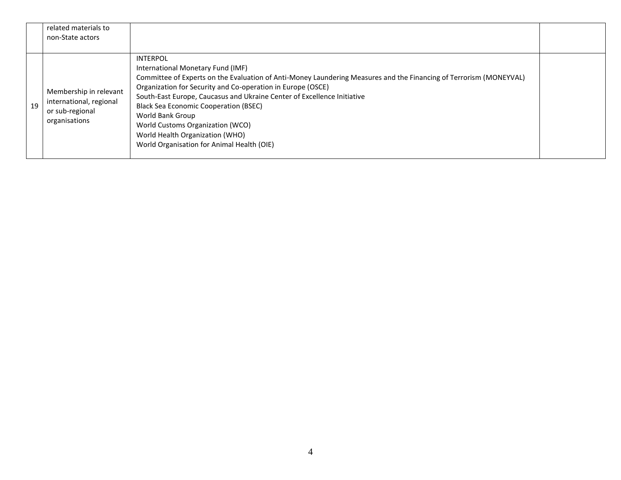|    | related materials to<br>non-State actors                                              |                                                                                                                                                                                                                                                                                                                                                                                                                                                                                                               |  |
|----|---------------------------------------------------------------------------------------|---------------------------------------------------------------------------------------------------------------------------------------------------------------------------------------------------------------------------------------------------------------------------------------------------------------------------------------------------------------------------------------------------------------------------------------------------------------------------------------------------------------|--|
| 19 | Membership in relevant<br>international, regional<br>or sub-regional<br>organisations | <b>INTERPOL</b><br>International Monetary Fund (IMF)<br>Committee of Experts on the Evaluation of Anti-Money Laundering Measures and the Financing of Terrorism (MONEYVAL)<br>Organization for Security and Co-operation in Europe (OSCE)<br>South-East Europe, Caucasus and Ukraine Center of Excellence Initiative<br><b>Black Sea Economic Cooperation (BSEC)</b><br>World Bank Group<br>World Customs Organization (WCO)<br>World Health Organization (WHO)<br>World Organisation for Animal Health (OIE) |  |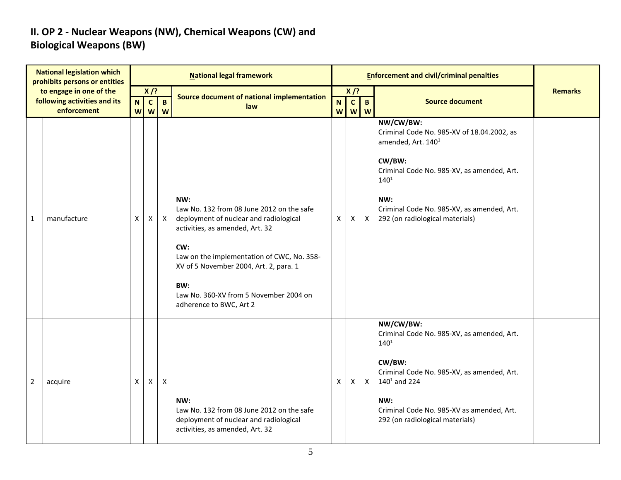#### **II. OP 2 - Nuclear Weapons (NW), Chemical Weapons (CW) and Biological Weapons (BW)**

|                | <b>National legislation which</b><br>prohibits persons or entities     |                  |                             |                   | <b>National legal framework</b>                                                                                                                                                                                                                                                                          |                  |                             |                     | <b>Enforcement and civil/criminal penalties</b>                                                                                                                                                                                                        |                |
|----------------|------------------------------------------------------------------------|------------------|-----------------------------|-------------------|----------------------------------------------------------------------------------------------------------------------------------------------------------------------------------------------------------------------------------------------------------------------------------------------------------|------------------|-----------------------------|---------------------|--------------------------------------------------------------------------------------------------------------------------------------------------------------------------------------------------------------------------------------------------------|----------------|
|                | to engage in one of the<br>following activities and its<br>enforcement | $\mathbf N$<br>W | $X$ /?<br>$\mathbf{c}$<br>W | $\mathbf{B}$<br>W | Source document of national implementation<br>law                                                                                                                                                                                                                                                        | $\mathbf N$<br>W | $X$ /?<br>$\mathbf{c}$<br>W | $\overline{B}$<br>W | <b>Source document</b>                                                                                                                                                                                                                                 | <b>Remarks</b> |
| 1              | manufacture                                                            | Χ                | Χ                           | X                 | NW:<br>Law No. 132 from 08 June 2012 on the safe<br>deployment of nuclear and radiological<br>activities, as amended, Art. 32<br>CW:<br>Law on the implementation of CWC, No. 358-<br>XV of 5 November 2004, Art. 2, para. 1<br>BW:<br>Law No. 360-XV from 5 November 2004 on<br>adherence to BWC, Art 2 | X                | X                           | $\mathsf{X}$        | NW/CW/BW:<br>Criminal Code No. 985-XV of 18.04.2002, as<br>amended, Art. 140 <sup>1</sup><br>CW/BW:<br>Criminal Code No. 985-XV, as amended, Art.<br>$140^{1}$<br>NW:<br>Criminal Code No. 985-XV, as amended, Art.<br>292 (on radiological materials) |                |
| $\overline{2}$ | acquire                                                                | X                | Χ                           | $\mathsf{X}$      | NW:<br>Law No. 132 from 08 June 2012 on the safe<br>deployment of nuclear and radiological<br>activities, as amended, Art. 32                                                                                                                                                                            | X                | X.                          | $\mathsf{X}$        | NW/CW/BW:<br>Criminal Code No. 985-XV, as amended, Art.<br>$140^{1}$<br>CW/BW:<br>Criminal Code No. 985-XV, as amended, Art.<br>$140^1$ and 224<br>NW:<br>Criminal Code No. 985-XV as amended, Art.<br>292 (on radiological materials)                 |                |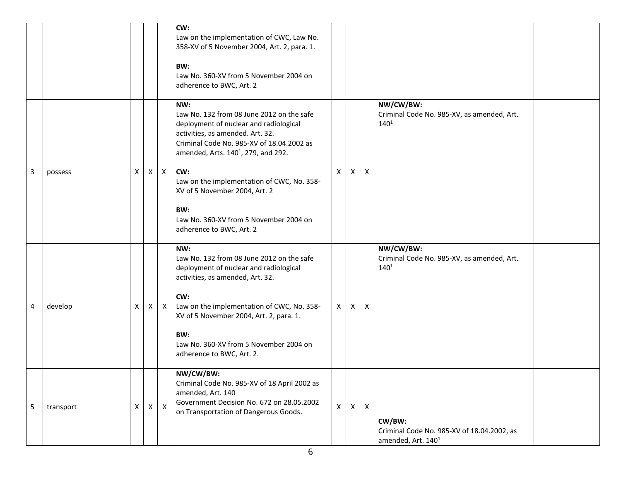|   |           |   |   |              | CW:<br>Law on the implementation of CWC, Law No.<br>358-XV of 5 November 2004, Art. 2, para. 1.<br>BW:<br>Law No. 360-XV from 5 November 2004 on<br>adherence to BWC, Art. 2                                                                                                                                                                                                                      |              |              |              |                                                                                        |  |
|---|-----------|---|---|--------------|---------------------------------------------------------------------------------------------------------------------------------------------------------------------------------------------------------------------------------------------------------------------------------------------------------------------------------------------------------------------------------------------------|--------------|--------------|--------------|----------------------------------------------------------------------------------------|--|
| 3 | possess   | X |   | $X$ $X$      | NW:<br>Law No. 132 from 08 June 2012 on the safe<br>deployment of nuclear and radiological<br>activities, as amended. Art. 32.<br>Criminal Code No. 985-XV of 18.04.2002 as<br>amended, Arts. 140 <sup>1</sup> , 279, and 292.<br>CW:<br>Law on the implementation of CWC, No. 358-<br>XV of 5 November 2004, Art. 2<br>BW:<br>Law No. 360-XV from 5 November 2004 on<br>adherence to BWC, Art. 2 | X            | $\mathsf{X}$ | X            | NW/CW/BW:<br>Criminal Code No. 985-XV, as amended, Art.<br>$140^{1}$                   |  |
| 4 | develop   | X | X | $\mathsf{X}$ | NW:<br>Law No. 132 from 08 June 2012 on the safe<br>deployment of nuclear and radiological<br>activities, as amended, Art. 32.<br>CW:<br>Law on the implementation of CWC, No. 358-<br>XV of 5 November 2004, Art. 2, para. 1.<br>BW:<br>Law No. 360-XV from 5 November 2004 on<br>adherence to BWC, Art. 2.                                                                                      | X            | $\mathsf{X}$ | Χ            | NW/CW/BW:<br>Criminal Code No. 985-XV, as amended, Art.<br>$140^{1}$                   |  |
| 5 | transport | X | X | $\mathsf{X}$ | NW/CW/BW:<br>Criminal Code No. 985-XV of 18 April 2002 as<br>amended, Art. 140<br>Government Decision No. 672 on 28.05.2002<br>on Transportation of Dangerous Goods.                                                                                                                                                                                                                              | $\mathsf{X}$ | X            | $\mathsf{X}$ | CW/BW:<br>Criminal Code No. 985-XV of 18.04.2002, as<br>amended, Art. 140 <sup>1</sup> |  |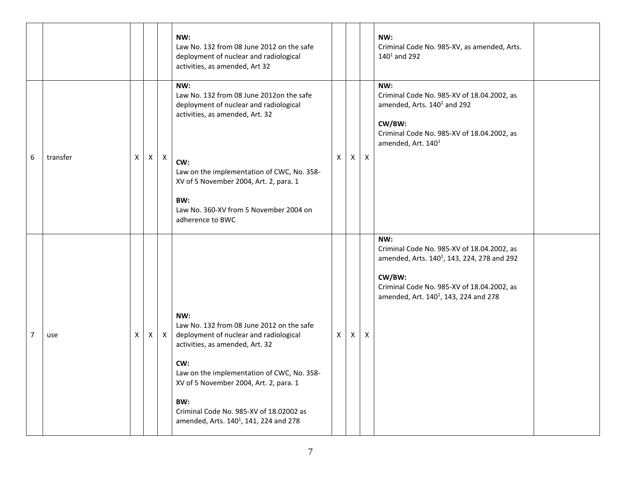|   |          |   |   |              | NW:<br>Law No. 132 from 08 June 2012 on the safe<br>deployment of nuclear and radiological<br>activities, as amended, Art 32                                                                                                                                                                                                         |                |              |              | NW:<br>Criminal Code No. 985-XV, as amended, Arts.<br>$140^1$ and 292                                                                                                                                                     |  |
|---|----------|---|---|--------------|--------------------------------------------------------------------------------------------------------------------------------------------------------------------------------------------------------------------------------------------------------------------------------------------------------------------------------------|----------------|--------------|--------------|---------------------------------------------------------------------------------------------------------------------------------------------------------------------------------------------------------------------------|--|
| 6 | transfer | x | X | $\mathsf{X}$ | NW:<br>Law No. 132 from 08 June 2012on the safe<br>deployment of nuclear and radiological<br>activities, as amended, Art. 32<br>CW:<br>Law on the implementation of CWC, No. 358-<br>XV of 5 November 2004, Art. 2, para. 1<br>BW:<br>Law No. 360-XV from 5 November 2004 on<br>adherence to BWC                                     | $\mathsf{X}^-$ | $\mathsf{X}$ | $\mathsf{X}$ | NW:<br>Criminal Code No. 985-XV of 18.04.2002, as<br>amended, Arts. 140 <sup>1</sup> and 292<br>CW/BW:<br>Criminal Code No. 985-XV of 18.04.2002, as<br>amended, Art. 140 <sup>1</sup>                                    |  |
| 7 | use      | X | X | $\mathsf{X}$ | NW:<br>Law No. 132 from 08 June 2012 on the safe<br>deployment of nuclear and radiological<br>activities, as amended, Art. 32<br>CW:<br>Law on the implementation of CWC, No. 358-<br>XV of 5 November 2004, Art. 2, para. 1<br>BW:<br>Criminal Code No. 985-XV of 18.02002 as<br>amended, Arts. 140 <sup>1</sup> , 141, 224 and 278 | X              | X            | Χ            | NW:<br>Criminal Code No. 985-XV of 18.04.2002, as<br>amended, Arts. 140 <sup>1</sup> , 143, 224, 278 and 292<br>CW/BW:<br>Criminal Code No. 985-XV of 18.04.2002, as<br>amended, Art. 140 <sup>1</sup> , 143, 224 and 278 |  |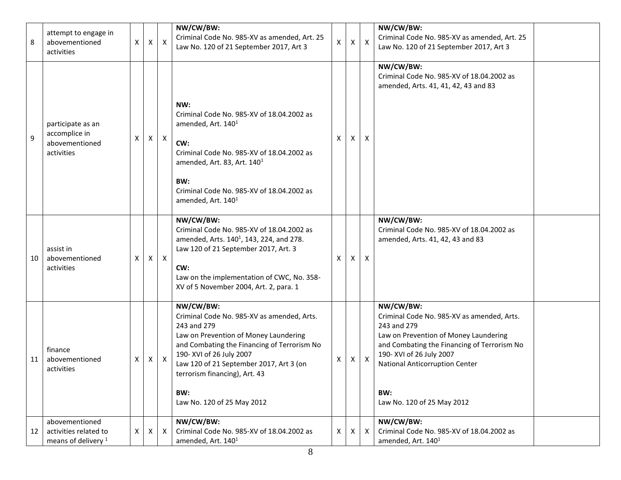| 8  | attempt to engage in<br>abovementioned<br>activities                      | X. | X | X            | NW/CW/BW:<br>Criminal Code No. 985-XV as amended, Art. 25<br>Law No. 120 of 21 September 2017, Art 3                                                                                                                                                                                                        | X | $\mathsf{X}^-$ | $\boldsymbol{\mathsf{X}}$ | NW/CW/BW:<br>Criminal Code No. 985-XV as amended, Art. 25<br>Law No. 120 of 21 September 2017, Art 3                                                                                                                                                              |  |
|----|---------------------------------------------------------------------------|----|---|--------------|-------------------------------------------------------------------------------------------------------------------------------------------------------------------------------------------------------------------------------------------------------------------------------------------------------------|---|----------------|---------------------------|-------------------------------------------------------------------------------------------------------------------------------------------------------------------------------------------------------------------------------------------------------------------|--|
| 9  | participate as an<br>accomplice in<br>abovementioned<br>activities        | X  |   | $X \mid X$   | NW:<br>Criminal Code No. 985-XV of 18.04.2002 as<br>amended, Art. 140 <sup>1</sup><br>CW:<br>Criminal Code No. 985-XV of 18.04.2002 as<br>amended, Art. 83, Art. $1401$<br>BW:<br>Criminal Code No. 985-XV of 18.04.2002 as<br>amended, Art. 140 <sup>1</sup>                                               | X | X              | X                         | NW/CW/BW:<br>Criminal Code No. 985-XV of 18.04.2002 as<br>amended, Arts. 41, 41, 42, 43 and 83                                                                                                                                                                    |  |
| 10 | assist in<br>abovementioned<br>activities                                 | x  | X | $\mathsf{X}$ | NW/CW/BW:<br>Criminal Code No. 985-XV of 18.04.2002 as<br>amended, Arts. 140 <sup>1</sup> , 143, 224, and 278.<br>Law 120 of 21 September 2017, Art. 3<br>CW:<br>Law on the implementation of CWC, No. 358-<br>XV of 5 November 2004, Art. 2, para. 1                                                       | X | X              | X                         | NW/CW/BW:<br>Criminal Code No. 985-XV of 18.04.2002 as<br>amended, Arts. 41, 42, 43 and 83                                                                                                                                                                        |  |
| 11 | finance<br>abovementioned<br>activities                                   | X  |   | $X \mid X$   | NW/CW/BW:<br>Criminal Code No. 985-XV as amended, Arts.<br>243 and 279<br>Law on Prevention of Money Laundering<br>and Combating the Financing of Terrorism No<br>190- XVI of 26 July 2007<br>Law 120 of 21 September 2017, Art 3 (on<br>terrorism financing), Art. 43<br>BW:<br>Law No. 120 of 25 May 2012 | Χ | X.             | $\boldsymbol{\mathsf{X}}$ | NW/CW/BW:<br>Criminal Code No. 985-XV as amended, Arts.<br>243 and 279<br>Law on Prevention of Money Laundering<br>and Combating the Financing of Terrorism No<br>190- XVI of 26 July 2007<br>National Anticorruption Center<br>BW:<br>Law No. 120 of 25 May 2012 |  |
| 12 | abovementioned<br>activities related to<br>means of delivery <sup>1</sup> | X  | Χ | X            | NW/CW/BW:<br>Criminal Code No. 985-XV of 18.04.2002 as<br>amended, Art. 140 <sup>1</sup>                                                                                                                                                                                                                    | X | X              | Χ                         | NW/CW/BW:<br>Criminal Code No. 985-XV of 18.04.2002 as<br>amended, Art. 140 <sup>1</sup>                                                                                                                                                                          |  |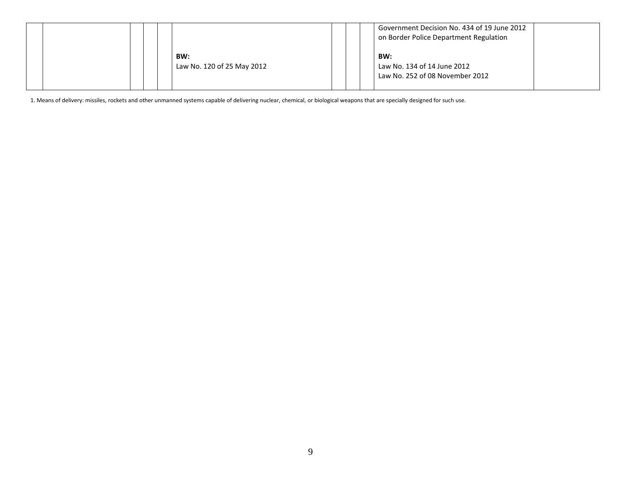|  |  |  |                                   |  | Government Decision No. 434 of 19 June 2012<br>on Border Police Department Regulation |  |
|--|--|--|-----------------------------------|--|---------------------------------------------------------------------------------------|--|
|  |  |  | BW:<br>Law No. 120 of 25 May 2012 |  | BW:<br>Law No. 134 of 14 June 2012<br>Law No. 252 of 08 November 2012                 |  |

1. Means of delivery: missiles, rockets and other unmanned systems capable of delivering nuclear, chemical, or biological weapons that are specially designed for such use.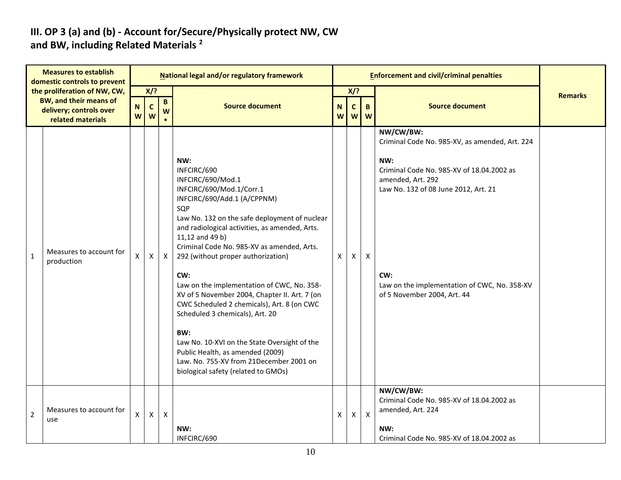#### **III. OP 3 (a) and (b) - Account for/Secure/Physically protect NW, CW and BW, including Related Materials <sup>2</sup>**

|                | <b>Measures to establish</b><br>domestic controls to prevent  |                  |                   |                   | National legal and/or regulatory framework                                                                                                                                                                                                                                                                                                                                                                                                                                                                                                                                                                                                                                              |   |                   |              | <b>Enforcement and civil/criminal penalties</b>                                                                                                                                                                                                                    |                |
|----------------|---------------------------------------------------------------|------------------|-------------------|-------------------|-----------------------------------------------------------------------------------------------------------------------------------------------------------------------------------------------------------------------------------------------------------------------------------------------------------------------------------------------------------------------------------------------------------------------------------------------------------------------------------------------------------------------------------------------------------------------------------------------------------------------------------------------------------------------------------------|---|-------------------|--------------|--------------------------------------------------------------------------------------------------------------------------------------------------------------------------------------------------------------------------------------------------------------------|----------------|
|                | the proliferation of NW, CW,<br><b>BW, and their means of</b> |                  | X/?               |                   |                                                                                                                                                                                                                                                                                                                                                                                                                                                                                                                                                                                                                                                                                         |   | $X$ /?            |              |                                                                                                                                                                                                                                                                    | <b>Remarks</b> |
|                | delivery; controls over<br>related materials                  | $\mathbf N$<br>W | $\mathsf{C}$<br>W | $\mathbf{B}$<br>W | <b>Source document</b>                                                                                                                                                                                                                                                                                                                                                                                                                                                                                                                                                                                                                                                                  |   | $\mathbf{C}$<br>w | B<br>W       | <b>Source document</b>                                                                                                                                                                                                                                             |                |
| $\mathbf{1}$   | Measures to account for<br>production                         | X                | X                 | $\mathsf{X}$      | NW:<br>INFCIRC/690<br>INFCIRC/690/Mod.1<br>INFCIRC/690/Mod.1/Corr.1<br>INFCIRC/690/Add.1 (A/CPPNM)<br>SQP<br>Law No. 132 on the safe deployment of nuclear<br>and radiological activities, as amended, Arts.<br>11,12 and 49 b)<br>Criminal Code No. 985-XV as amended, Arts.<br>292 (without proper authorization)<br>CW:<br>Law on the implementation of CWC, No. 358-<br>XV of 5 November 2004, Chapter II. Art. 7 (on<br>CWC Scheduled 2 chemicals), Art. 8 (on CWC<br>Scheduled 3 chemicals), Art. 20<br>BW:<br>Law No. 10-XVI on the State Oversight of the<br>Public Health, as amended (2009)<br>Law. No. 755-XV from 21December 2001 on<br>biological safety (related to GMOs) | X | X                 | X            | NW/CW/BW:<br>Criminal Code No. 985-XV, as amended, Art. 224<br>NW:<br>Criminal Code No. 985-XV of 18.04.2002 as<br>amended, Art. 292<br>Law No. 132 of 08 June 2012, Art. 21<br>CW:<br>Law on the implementation of CWC, No. 358-XV<br>of 5 November 2004, Art. 44 |                |
| $\overline{2}$ | Measures to account for<br>use                                | $\mathsf{x}$     | X                 | $\mathsf{X}$      | NW:<br>INFCIRC/690                                                                                                                                                                                                                                                                                                                                                                                                                                                                                                                                                                                                                                                                      | X | $\mathsf{X}$      | $\mathsf{X}$ | NW/CW/BW:<br>Criminal Code No. 985-XV of 18.04.2002 as<br>amended, Art. 224<br>NW:<br>Criminal Code No. 985-XV of 18.04.2002 as                                                                                                                                    |                |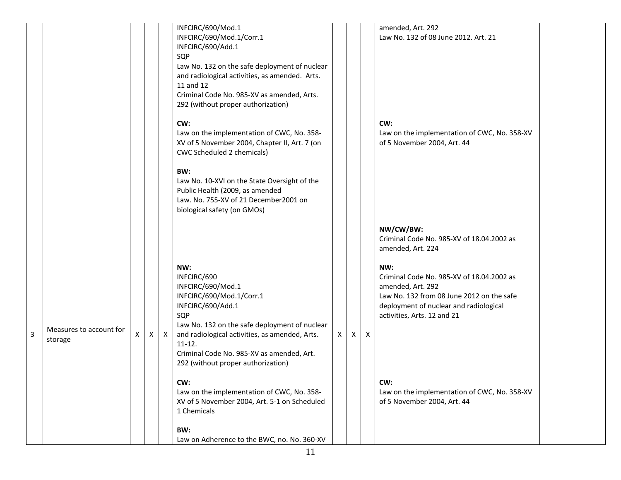|                |                                    |    |    |              | INFCIRC/690/Mod.1<br>INFCIRC/690/Mod.1/Corr.1<br>INFCIRC/690/Add.1<br>SQP<br>Law No. 132 on the safe deployment of nuclear<br>and radiological activities, as amended. Arts.<br>11 and 12<br>Criminal Code No. 985-XV as amended, Arts.<br>292 (without proper authorization)<br>CW:<br>Law on the implementation of CWC, No. 358-<br>XV of 5 November 2004, Chapter II, Art. 7 (on<br>CWC Scheduled 2 chemicals)<br>BW:<br>Law No. 10-XVI on the State Oversight of the<br>Public Health (2009, as amended<br>Law. No. 755-XV of 21 December2001 on |   |              |                           | amended, Art. 292<br>Law No. 132 of 08 June 2012. Art. 21<br>CW:<br>Law on the implementation of CWC, No. 358-XV<br>of 5 November 2004, Art. 44                                                                                                                                                                                                                  |  |
|----------------|------------------------------------|----|----|--------------|------------------------------------------------------------------------------------------------------------------------------------------------------------------------------------------------------------------------------------------------------------------------------------------------------------------------------------------------------------------------------------------------------------------------------------------------------------------------------------------------------------------------------------------------------|---|--------------|---------------------------|------------------------------------------------------------------------------------------------------------------------------------------------------------------------------------------------------------------------------------------------------------------------------------------------------------------------------------------------------------------|--|
| $\overline{3}$ | Measures to account for<br>storage | X. | X. | $\mathsf{X}$ | biological safety (on GMOs)<br>NW:<br>INFCIRC/690<br>INFCIRC/690/Mod.1<br>INFCIRC/690/Mod.1/Corr.1<br>INFCIRC/690/Add.1<br>SQP<br>Law No. 132 on the safe deployment of nuclear<br>and radiological activities, as amended, Arts.<br>$11-12.$<br>Criminal Code No. 985-XV as amended, Art.<br>292 (without proper authorization)<br>CW:<br>Law on the implementation of CWC, No. 358-<br>XV of 5 November 2004, Art. 5-1 on Scheduled<br>1 Chemicals<br>BW:<br>Law on Adherence to the BWC, no. No. 360-XV                                           | X | $\mathsf{X}$ | $\boldsymbol{\mathsf{X}}$ | NW/CW/BW:<br>Criminal Code No. 985-XV of 18.04.2002 as<br>amended, Art. 224<br>NW:<br>Criminal Code No. 985-XV of 18.04.2002 as<br>amended, Art. 292<br>Law No. 132 from 08 June 2012 on the safe<br>deployment of nuclear and radiological<br>activities, Arts. 12 and 21<br>CW:<br>Law on the implementation of CWC, No. 358-XV<br>of 5 November 2004, Art. 44 |  |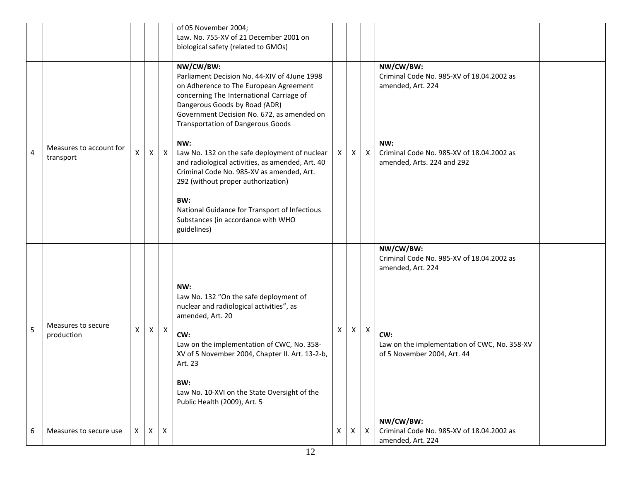|                |                                      |          |              |              | of 05 November 2004;<br>Law. No. 755-XV of 21 December 2001 on<br>biological safety (related to GMOs)                                                                                                                                                                                                                                                                                                                                                                                                                                                                                  |    |   |                           |                                                                                                                                                                   |  |
|----------------|--------------------------------------|----------|--------------|--------------|----------------------------------------------------------------------------------------------------------------------------------------------------------------------------------------------------------------------------------------------------------------------------------------------------------------------------------------------------------------------------------------------------------------------------------------------------------------------------------------------------------------------------------------------------------------------------------------|----|---|---------------------------|-------------------------------------------------------------------------------------------------------------------------------------------------------------------|--|
| $\overline{4}$ | Measures to account for<br>transport | X        | $\mathsf{X}$ | $\mathsf{X}$ | NW/CW/BW:<br>Parliament Decision No. 44-XIV of 4June 1998<br>on Adherence to The European Agreement<br>concerning The International Carriage of<br>Dangerous Goods by Road (ADR)<br>Government Decision No. 672, as amended on<br><b>Transportation of Dangerous Goods</b><br>NW:<br>Law No. 132 on the safe deployment of nuclear<br>and radiological activities, as amended, Art. 40<br>Criminal Code No. 985-XV as amended, Art.<br>292 (without proper authorization)<br>BW:<br>National Guidance for Transport of Infectious<br>Substances (in accordance with WHO<br>guidelines) | X  | X | $\mathsf{X}$              | NW/CW/BW:<br>Criminal Code No. 985-XV of 18.04.2002 as<br>amended, Art. 224<br>NW:<br>Criminal Code No. 985-XV of 18.04.2002 as<br>amended, Arts. 224 and 292     |  |
| 5              | Measures to secure<br>production     | X        | X            | $\mathsf{X}$ | NW:<br>Law No. 132 "On the safe deployment of<br>nuclear and radiological activities", as<br>amended, Art. 20<br>CW:<br>Law on the implementation of CWC, No. 358-<br>XV of 5 November 2004, Chapter II. Art. 13-2-b,<br>Art. 23<br>BW:<br>Law No. 10-XVI on the State Oversight of the<br>Public Health (2009), Art. 5                                                                                                                                                                                                                                                                | X. | X | $\boldsymbol{\mathsf{X}}$ | NW/CW/BW:<br>Criminal Code No. 985-XV of 18.04.2002 as<br>amended, Art. 224<br>CW:<br>Law on the implementation of CWC, No. 358-XV<br>of 5 November 2004, Art. 44 |  |
| 6              | Measures to secure use               | $\times$ | $\mathsf{X}$ | $\mathsf{X}$ |                                                                                                                                                                                                                                                                                                                                                                                                                                                                                                                                                                                        | X. | X | $\mathsf{X}$              | NW/CW/BW:<br>Criminal Code No. 985-XV of 18.04.2002 as<br>amended, Art. 224                                                                                       |  |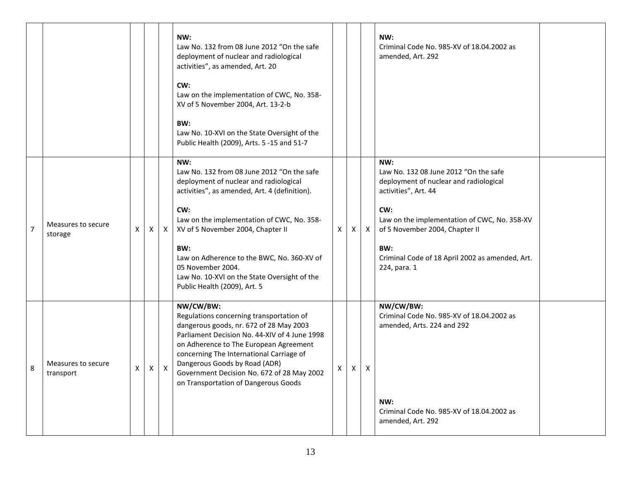|                |                                 |   |   |   | NW:<br>Law No. 132 from 08 June 2012 "On the safe<br>deployment of nuclear and radiological<br>activities", as amended, Art. 20<br>CW:<br>Law on the implementation of CWC, No. 358-<br>XV of 5 November 2004, Art. 13-2-b                                                                                                                                     |   |   |   | NW:<br>Criminal Code No. 985-XV of 18.04.2002 as<br>amended, Art. 292                                          |  |
|----------------|---------------------------------|---|---|---|----------------------------------------------------------------------------------------------------------------------------------------------------------------------------------------------------------------------------------------------------------------------------------------------------------------------------------------------------------------|---|---|---|----------------------------------------------------------------------------------------------------------------|--|
|                |                                 |   |   |   | BW:<br>Law No. 10-XVI on the State Oversight of the<br>Public Health (2009), Arts. 5 -15 and 51-7                                                                                                                                                                                                                                                              |   |   |   |                                                                                                                |  |
|                |                                 |   |   |   | NW:<br>Law No. 132 from 08 June 2012 "On the safe<br>deployment of nuclear and radiological<br>activities", as amended, Art. 4 (definition).                                                                                                                                                                                                                   |   |   |   | NW:<br>Law No. 132 08 June 2012 "On the safe<br>deployment of nuclear and radiological<br>activities", Art. 44 |  |
| $\overline{7}$ | Measures to secure<br>storage   | х | X | X | CW:<br>Law on the implementation of CWC, No. 358-<br>XV of 5 November 2004, Chapter II                                                                                                                                                                                                                                                                         | Χ | X | X | CW:<br>Law on the implementation of CWC, No. 358-XV<br>of 5 November 2004, Chapter II                          |  |
|                |                                 |   |   |   | BW:<br>Law on Adherence to the BWC, No. 360-XV of<br>05 November 2004.<br>Law No. 10-XVI on the State Oversight of the<br>Public Health (2009), Art. 5                                                                                                                                                                                                         |   |   |   | BW:<br>Criminal Code of 18 April 2002 as amended, Art.<br>224, para. 1                                         |  |
| 8              | Measures to secure<br>transport | X | Χ | X | NW/CW/BW:<br>Regulations concerning transportation of<br>dangerous goods, nr. 672 of 28 May 2003<br>Parliament Decision No. 44-XIV of 4 June 1998<br>on Adherence to The European Agreement<br>concerning The International Carriage of<br>Dangerous Goods by Road (ADR)<br>Government Decision No. 672 of 28 May 2002<br>on Transportation of Dangerous Goods | X | X | X | NW/CW/BW:<br>Criminal Code No. 985-XV of 18.04.2002 as<br>amended, Arts. 224 and 292                           |  |
|                |                                 |   |   |   |                                                                                                                                                                                                                                                                                                                                                                |   |   |   | NW:<br>Criminal Code No. 985-XV of 18.04.2002 as<br>amended, Art. 292                                          |  |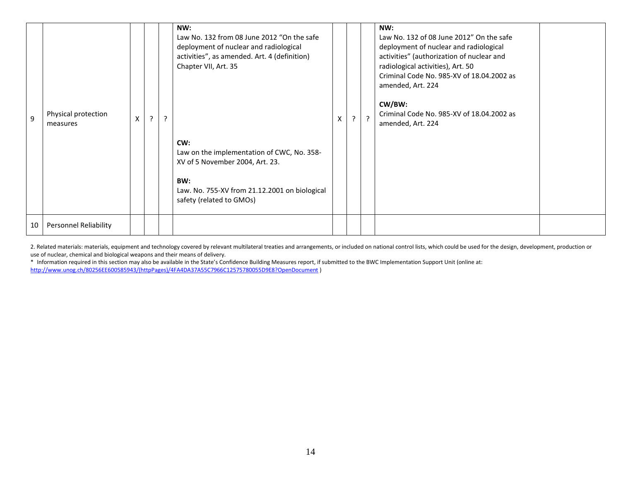| 9  | Physical protection<br>measures | $\pmb{\mathsf{X}}$ | ? | ? | NW:<br>Law No. 132 from 08 June 2012 "On the safe<br>deployment of nuclear and radiological<br>activities", as amended. Art. 4 (definition)<br>Chapter VII, Art. 35<br>CW:<br>Law on the implementation of CWC, No. 358-<br>XV of 5 November 2004, Art. 23.<br>BW:<br>Law. No. 755-XV from 21.12.2001 on biological<br>safety (related to GMOs) | $\overline{a}$ | $\mathcal{P}$ | NW:<br>Law No. 132 of 08 June 2012" On the safe<br>deployment of nuclear and radiological<br>activities" (authorization of nuclear and<br>radiological activities), Art. 50<br>Criminal Code No. 985-XV of 18.04.2002 as<br>amended, Art. 224<br>CW/BW:<br>Criminal Code No. 985-XV of 18.04.2002 as<br>amended, Art. 224 |  |
|----|---------------------------------|--------------------|---|---|-------------------------------------------------------------------------------------------------------------------------------------------------------------------------------------------------------------------------------------------------------------------------------------------------------------------------------------------------|----------------|---------------|---------------------------------------------------------------------------------------------------------------------------------------------------------------------------------------------------------------------------------------------------------------------------------------------------------------------------|--|
| 10 | <b>Personnel Reliability</b>    |                    |   |   |                                                                                                                                                                                                                                                                                                                                                 |                |               |                                                                                                                                                                                                                                                                                                                           |  |

2. Related materials: materials, equipment and technology covered by relevant multilateral treaties and arrangements, or included on national control lists, which could be used for the design, development, production or use of nuclear, chemical and biological weapons and their means of delivery.

\* Information required in this section may also be available in the State's Confidence Building Measures report, if submitted to the BWC Implementation Support Unit (online at: [http://www.unog.ch/80256EE600585943/\(httpPages\)/4FA4DA37A55C7966C12575780055D9E8?OpenDocument](http://www.unog.ch/80256EE600585943/(httpPages)/4FA4DA37A55C7966C12575780055D9E8?OpenDocument) )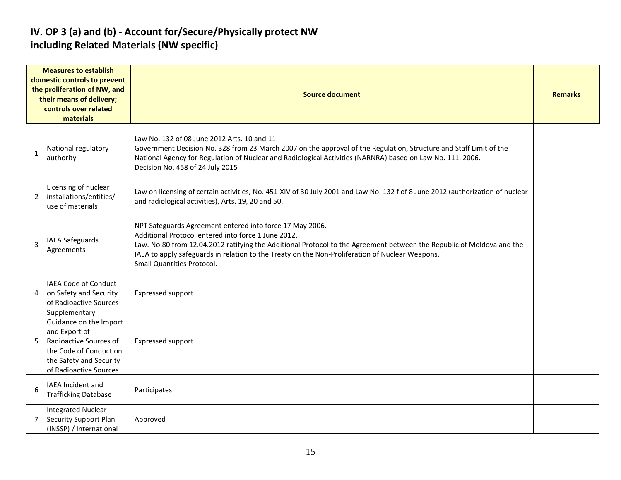#### **IV. OP 3 (a) and (b) - Account for/Secure/Physically protect NW including Related Materials (NW specific)**

|   | <b>Measures to establish</b><br>domestic controls to prevent<br>the proliferation of NW, and<br>their means of delivery;<br>controls over related<br>materials    | <b>Source document</b>                                                                                                                                                                                                                                                                                                                                                    |  |  |  |  |  |  |  |  |
|---|-------------------------------------------------------------------------------------------------------------------------------------------------------------------|---------------------------------------------------------------------------------------------------------------------------------------------------------------------------------------------------------------------------------------------------------------------------------------------------------------------------------------------------------------------------|--|--|--|--|--|--|--|--|
| 1 | National regulatory<br>authority                                                                                                                                  | Law No. 132 of 08 June 2012 Arts. 10 and 11<br>Government Decision No. 328 from 23 March 2007 on the approval of the Regulation, Structure and Staff Limit of the<br>National Agency for Regulation of Nuclear and Radiological Activities (NARNRA) based on Law No. 111, 2006.<br>Decision No. 458 of 24 July 2015                                                       |  |  |  |  |  |  |  |  |
| 2 | Licensing of nuclear<br>installations/entities/<br>use of materials                                                                                               | Law on licensing of certain activities, No. 451-XIV of 30 July 2001 and Law No. 132 f of 8 June 2012 (authorization of nuclear<br>and radiological activities), Arts. 19, 20 and 50.                                                                                                                                                                                      |  |  |  |  |  |  |  |  |
| 3 | <b>IAEA Safeguards</b><br>Agreements                                                                                                                              | NPT Safeguards Agreement entered into force 17 May 2006.<br>Additional Protocol entered into force 1 June 2012.<br>Law. No.80 from 12.04.2012 ratifying the Additional Protocol to the Agreement between the Republic of Moldova and the<br>IAEA to apply safeguards in relation to the Treaty on the Non-Proliferation of Nuclear Weapons.<br>Small Quantities Protocol. |  |  |  |  |  |  |  |  |
| 4 | <b>IAEA Code of Conduct</b><br>on Safety and Security<br>of Radioactive Sources                                                                                   | Expressed support                                                                                                                                                                                                                                                                                                                                                         |  |  |  |  |  |  |  |  |
| 5 | Supplementary<br>Guidance on the Import<br>and Export of<br>Radioactive Sources of<br>the Code of Conduct on<br>the Safety and Security<br>of Radioactive Sources | Expressed support                                                                                                                                                                                                                                                                                                                                                         |  |  |  |  |  |  |  |  |
| 6 | IAEA Incident and<br><b>Trafficking Database</b>                                                                                                                  | Participates                                                                                                                                                                                                                                                                                                                                                              |  |  |  |  |  |  |  |  |
| 7 | <b>Integrated Nuclear</b><br>Security Support Plan<br>(INSSP) / International                                                                                     | Approved                                                                                                                                                                                                                                                                                                                                                                  |  |  |  |  |  |  |  |  |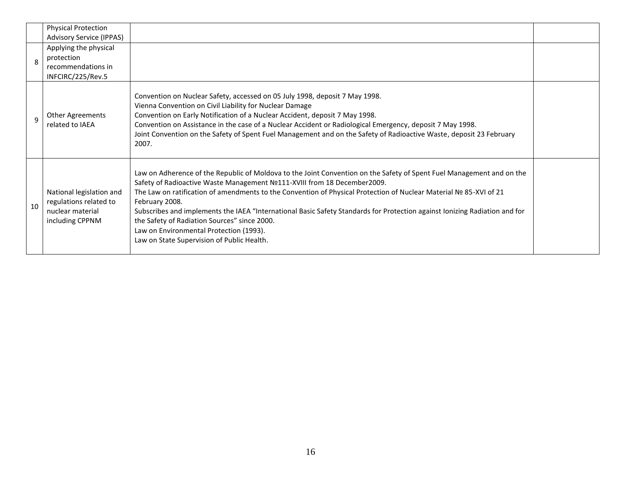|    | Physical Protection<br><b>Advisory Service (IPPAS)</b>                                    |                                                                                                                                                                                                                                                                                                                                                                                                                                                                                                                                                                                                                 |  |
|----|-------------------------------------------------------------------------------------------|-----------------------------------------------------------------------------------------------------------------------------------------------------------------------------------------------------------------------------------------------------------------------------------------------------------------------------------------------------------------------------------------------------------------------------------------------------------------------------------------------------------------------------------------------------------------------------------------------------------------|--|
| 8  | Applying the physical<br>protection<br>recommendations in<br>INFCIRC/225/Rev.5            |                                                                                                                                                                                                                                                                                                                                                                                                                                                                                                                                                                                                                 |  |
| q  | Other Agreements<br>related to IAEA                                                       | Convention on Nuclear Safety, accessed on 05 July 1998, deposit 7 May 1998.<br>Vienna Convention on Civil Liability for Nuclear Damage<br>Convention on Early Notification of a Nuclear Accident, deposit 7 May 1998.<br>Convention on Assistance in the case of a Nuclear Accident or Radiological Emergency, deposit 7 May 1998.<br>Joint Convention on the Safety of Spent Fuel Management and on the Safety of Radioactive Waste, deposit 23 February<br>2007.                                                                                                                                              |  |
| 10 | National legislation and<br>regulations related to<br>nuclear material<br>including CPPNM | Law on Adherence of the Republic of Moldova to the Joint Convention on the Safety of Spent Fuel Management and on the<br>Safety of Radioactive Waste Management Nº111-XVIII from 18 December2009.<br>The Law on ratification of amendments to the Convention of Physical Protection of Nuclear Material № 85-XVI of 21<br>February 2008.<br>Subscribes and implements the IAEA "International Basic Safety Standards for Protection against Ionizing Radiation and for<br>the Safety of Radiation Sources" since 2000.<br>Law on Environmental Protection (1993).<br>Law on State Supervision of Public Health. |  |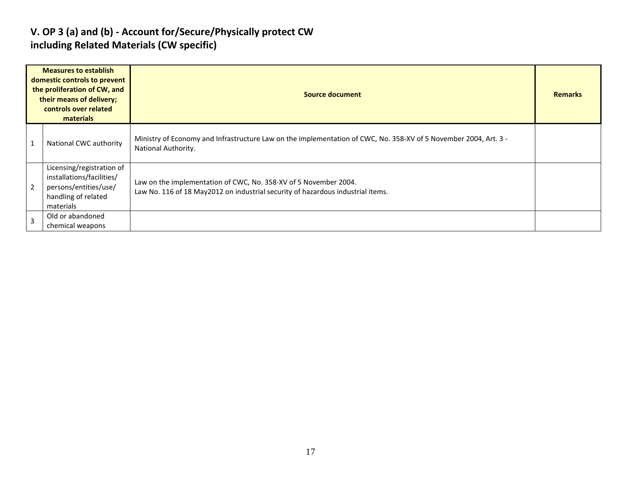#### **V. OP 3 (a) and (b) - Account for/Secure/Physically protect CW including Related Materials (CW specific)**

| <b>Measures to establish</b><br>domestic controls to prevent<br>the proliferation of CW, and<br>their means of delivery;<br>controls over related<br>materials |                                                                                                                     | Source document                                                                                                                                     |  |  |  |  |  |
|----------------------------------------------------------------------------------------------------------------------------------------------------------------|---------------------------------------------------------------------------------------------------------------------|-----------------------------------------------------------------------------------------------------------------------------------------------------|--|--|--|--|--|
|                                                                                                                                                                | National CWC authority                                                                                              | Ministry of Economy and Infrastructure Law on the implementation of CWC, No. 358-XV of 5 November 2004, Art. 3 -<br>National Authority.             |  |  |  |  |  |
| 2                                                                                                                                                              | Licensing/registration of<br>installations/facilities/<br>persons/entities/use/<br>handling of related<br>materials | Law on the implementation of CWC, No. 358-XV of 5 November 2004.<br>Law No. 116 of 18 May2012 on industrial security of hazardous industrial items. |  |  |  |  |  |
| 3                                                                                                                                                              | Old or abandoned<br>chemical weapons                                                                                |                                                                                                                                                     |  |  |  |  |  |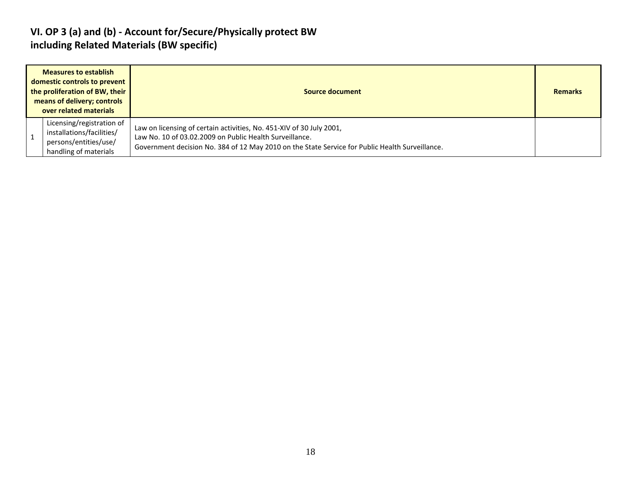#### **VI. OP 3 (a) and (b) - Account for/Secure/Physically protect BW including Related Materials (BW specific)**

| <b>Measures to establish</b><br>domestic controls to prevent<br>the proliferation of BW, their<br>means of delivery; controls<br>over related materials | Source document                                                                                                                                                                                                                    | <b>Remarks</b> |
|---------------------------------------------------------------------------------------------------------------------------------------------------------|------------------------------------------------------------------------------------------------------------------------------------------------------------------------------------------------------------------------------------|----------------|
| Licensing/registration of<br>installations/facilities/<br>persons/entities/use/<br>handling of materials                                                | Law on licensing of certain activities, No. 451-XIV of 30 July 2001,<br>Law No. 10 of 03.02.2009 on Public Health Surveillance.<br>Government decision No. 384 of 12 May 2010 on the State Service for Public Health Surveillance. |                |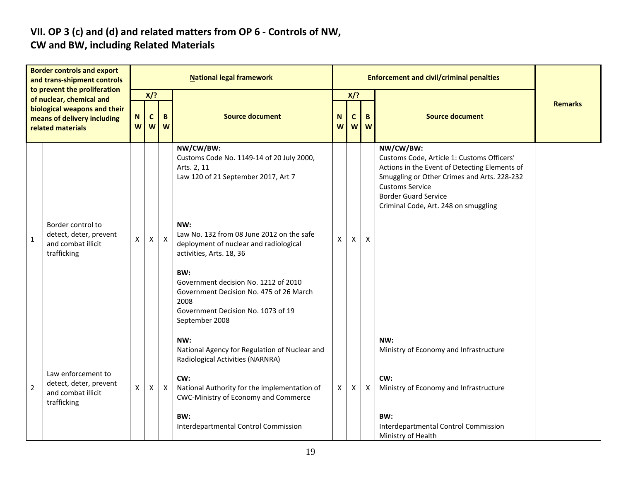# **VII. OP 3 (c) and (d) and related matters from OP 6 - Controls of NW,**

### **CW and BW, including Related Materials**

| <b>Border controls and export</b><br>and trans-shipment controls<br>to prevent the proliferation<br>of nuclear, chemical and<br>biological weapons and their<br>means of delivery including<br>related materials |                                                                                   | <b>National legal framework</b> |                           |              |                                                                                                                                                                       |        |                 |                  | <b>Enforcement and civil/criminal penalties</b>                                                                                                                                                                                                          |                |  |  |  |
|------------------------------------------------------------------------------------------------------------------------------------------------------------------------------------------------------------------|-----------------------------------------------------------------------------------|---------------------------------|---------------------------|--------------|-----------------------------------------------------------------------------------------------------------------------------------------------------------------------|--------|-----------------|------------------|----------------------------------------------------------------------------------------------------------------------------------------------------------------------------------------------------------------------------------------------------------|----------------|--|--|--|
|                                                                                                                                                                                                                  |                                                                                   | N<br>W                          | $X$ ?<br>C<br>B<br>W<br>W |              | <b>Source document</b>                                                                                                                                                | N<br>W | $X$ ?<br>C<br>W | B<br>W           | <b>Source document</b>                                                                                                                                                                                                                                   | <b>Remarks</b> |  |  |  |
|                                                                                                                                                                                                                  |                                                                                   |                                 |                           |              | NW/CW/BW:<br>Customs Code No. 1149-14 of 20 July 2000,<br>Arts. 2, 11<br>Law 120 of 21 September 2017, Art 7                                                          |        |                 |                  | NW/CW/BW:<br>Customs Code, Article 1: Customs Officers'<br>Actions in the Event of Detecting Elements of<br>Smuggling or Other Crimes and Arts. 228-232<br><b>Customs Service</b><br><b>Border Guard Service</b><br>Criminal Code, Art. 248 on smuggling |                |  |  |  |
| $\mathbf{1}$                                                                                                                                                                                                     | Border control to<br>detect, deter, prevent<br>and combat illicit<br>trafficking  | X                               | $\mathsf{X}$              | $\mathsf{X}$ | NW:<br>Law No. 132 from 08 June 2012 on the safe<br>deployment of nuclear and radiological<br>activities, Arts. 18, 36<br>BW:<br>Government decision No. 1212 of 2010 | X      | X               | $\mathsf{X}$     |                                                                                                                                                                                                                                                          |                |  |  |  |
|                                                                                                                                                                                                                  |                                                                                   |                                 |                           |              | Government Decision No. 475 of 26 March<br>2008<br>Government Decision No. 1073 of 19<br>September 2008                                                               |        |                 |                  |                                                                                                                                                                                                                                                          |                |  |  |  |
|                                                                                                                                                                                                                  |                                                                                   |                                 |                           |              | NW:<br>National Agency for Regulation of Nuclear and<br>Radiological Activities (NARNRA)                                                                              |        |                 |                  | NW:<br>Ministry of Economy and Infrastructure                                                                                                                                                                                                            |                |  |  |  |
| $\overline{2}$                                                                                                                                                                                                   | Law enforcement to<br>detect, deter, prevent<br>and combat illicit<br>trafficking | $\pmb{\mathsf{X}}$              | X                         | X            | CW:<br>National Authority for the implementation of<br>CWC-Ministry of Economy and Commerce                                                                           | X      | X               | $\boldsymbol{X}$ | CW:<br>Ministry of Economy and Infrastructure                                                                                                                                                                                                            |                |  |  |  |
|                                                                                                                                                                                                                  |                                                                                   |                                 |                           |              | BW:<br>Interdepartmental Control Commission                                                                                                                           |        |                 |                  | BW:<br>Interdepartmental Control Commission<br>Ministry of Health                                                                                                                                                                                        |                |  |  |  |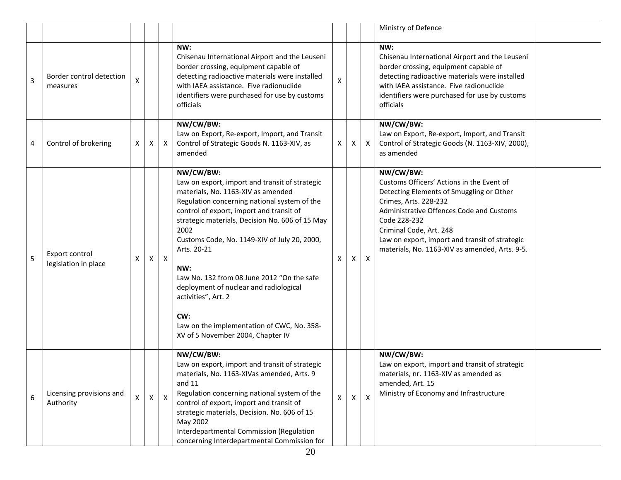|   |                                        |                 |              |              |                                                                                                                                                                                                                                                                                                                                                                                                                                                                                                                                         |    |    |                           | Ministry of Defence                                                                                                                                                                                                                                                                                                    |  |
|---|----------------------------------------|-----------------|--------------|--------------|-----------------------------------------------------------------------------------------------------------------------------------------------------------------------------------------------------------------------------------------------------------------------------------------------------------------------------------------------------------------------------------------------------------------------------------------------------------------------------------------------------------------------------------------|----|----|---------------------------|------------------------------------------------------------------------------------------------------------------------------------------------------------------------------------------------------------------------------------------------------------------------------------------------------------------------|--|
| 3 | Border control detection<br>measures   | X               |              |              | NW:<br>Chisenau International Airport and the Leuseni<br>border crossing, equipment capable of<br>detecting radioactive materials were installed<br>with IAEA assistance. Five radionuclide<br>identifiers were purchased for use by customs<br>officials                                                                                                                                                                                                                                                                               | X  |    |                           | NW:<br>Chisenau International Airport and the Leuseni<br>border crossing, equipment capable of<br>detecting radioactive materials were installed<br>with IAEA assistance. Five radionuclide<br>identifiers were purchased for use by customs<br>officials                                                              |  |
| 4 | Control of brokering                   | X               | X            | $\mathsf{X}$ | NW/CW/BW:<br>Law on Export, Re-export, Import, and Transit<br>Control of Strategic Goods N. 1163-XIV, as<br>amended                                                                                                                                                                                                                                                                                                                                                                                                                     | X. | X. | $\mathsf{X}$              | NW/CW/BW:<br>Law on Export, Re-export, Import, and Transit<br>Control of Strategic Goods (N. 1163-XIV, 2000),<br>as amended                                                                                                                                                                                            |  |
| 5 | Export control<br>legislation in place | X               | X            | X            | NW/CW/BW:<br>Law on export, import and transit of strategic<br>materials, No. 1163-XIV as amended<br>Regulation concerning national system of the<br>control of export, import and transit of<br>strategic materials, Decision No. 606 of 15 May<br>2002<br>Customs Code, No. 1149-XIV of July 20, 2000,<br>Arts. 20-21<br>NW:<br>Law No. 132 from 08 June 2012 "On the safe<br>deployment of nuclear and radiological<br>activities", Art. 2<br>CW:<br>Law on the implementation of CWC, No. 358-<br>XV of 5 November 2004, Chapter IV | X  | X  | X                         | NW/CW/BW:<br>Customs Officers' Actions in the Event of<br>Detecting Elements of Smuggling or Other<br>Crimes, Arts. 228-232<br>Administrative Offences Code and Customs<br>Code 228-232<br>Criminal Code, Art. 248<br>Law on export, import and transit of strategic<br>materials, No. 1163-XIV as amended, Arts. 9-5. |  |
| 6 | Licensing provisions and<br>Authority  | $\mathsf{\chi}$ | $\mathsf{X}$ | $\mathsf{X}$ | NW/CW/BW:<br>Law on export, import and transit of strategic<br>materials, No. 1163-XIVas amended, Arts. 9<br>and $11$<br>Regulation concerning national system of the<br>control of export, import and transit of<br>strategic materials, Decision. No. 606 of 15<br>May 2002<br>Interdepartmental Commission (Regulation<br>concerning Interdepartmental Commission for                                                                                                                                                                | X  | X  | $\boldsymbol{\mathsf{x}}$ | NW/CW/BW:<br>Law on export, import and transit of strategic<br>materials, nr. 1163-XIV as amended as<br>amended, Art. 15<br>Ministry of Economy and Infrastructure                                                                                                                                                     |  |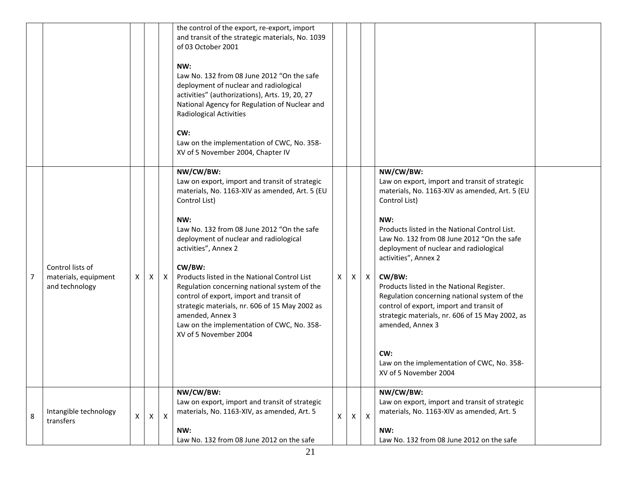|   |                                                            |              |   |              | the control of the export, re-export, import<br>and transit of the strategic materials, No. 1039<br>of 03 October 2001<br>NW:<br>Law No. 132 from 08 June 2012 "On the safe<br>deployment of nuclear and radiological<br>activities" (authorizations), Arts. 19, 20, 27<br>National Agency for Regulation of Nuclear and<br><b>Radiological Activities</b><br>CW:<br>Law on the implementation of CWC, No. 358-<br>XV of 5 November 2004, Chapter IV                                                                                                     |          |                |   |                                                                                                                                                                                                                                                                                                                                                                                                                                                                                                                                                                                                                |  |
|---|------------------------------------------------------------|--------------|---|--------------|----------------------------------------------------------------------------------------------------------------------------------------------------------------------------------------------------------------------------------------------------------------------------------------------------------------------------------------------------------------------------------------------------------------------------------------------------------------------------------------------------------------------------------------------------------|----------|----------------|---|----------------------------------------------------------------------------------------------------------------------------------------------------------------------------------------------------------------------------------------------------------------------------------------------------------------------------------------------------------------------------------------------------------------------------------------------------------------------------------------------------------------------------------------------------------------------------------------------------------------|--|
| 7 | Control lists of<br>materials, equipment<br>and technology | $\mathsf{X}$ | X | $\mathsf{X}$ | NW/CW/BW:<br>Law on export, import and transit of strategic<br>materials, No. 1163-XIV as amended, Art. 5 (EU<br>Control List)<br>NW:<br>Law No. 132 from 08 June 2012 "On the safe<br>deployment of nuclear and radiological<br>activities", Annex 2<br>CW/BW:<br>Products listed in the National Control List<br>Regulation concerning national system of the<br>control of export, import and transit of<br>strategic materials, nr. 606 of 15 May 2002 as<br>amended, Annex 3<br>Law on the implementation of CWC, No. 358-<br>XV of 5 November 2004 | $\times$ | X              | X | NW/CW/BW:<br>Law on export, import and transit of strategic<br>materials, No. 1163-XIV as amended, Art. 5 (EU<br>Control List)<br>NW:<br>Products listed in the National Control List.<br>Law No. 132 from 08 June 2012 "On the safe<br>deployment of nuclear and radiological<br>activities", Annex 2<br>CW/BW:<br>Products listed in the National Register.<br>Regulation concerning national system of the<br>control of export, import and transit of<br>strategic materials, nr. 606 of 15 May 2002, as<br>amended, Annex 3<br>CW:<br>Law on the implementation of CWC, No. 358-<br>XV of 5 November 2004 |  |
| 8 | Intangible technology<br>transfers                         | $\mathsf{X}$ | X | $\mathsf{X}$ | NW/CW/BW:<br>Law on export, import and transit of strategic<br>materials, No. 1163-XIV, as amended, Art. 5<br>NW:<br>Law No. 132 from 08 June 2012 on the safe                                                                                                                                                                                                                                                                                                                                                                                           | $\times$ | $\mathsf{X}^-$ | X | NW/CW/BW:<br>Law on export, import and transit of strategic<br>materials, No. 1163-XIV as amended, Art. 5<br>NW:<br>Law No. 132 from 08 June 2012 on the safe                                                                                                                                                                                                                                                                                                                                                                                                                                                  |  |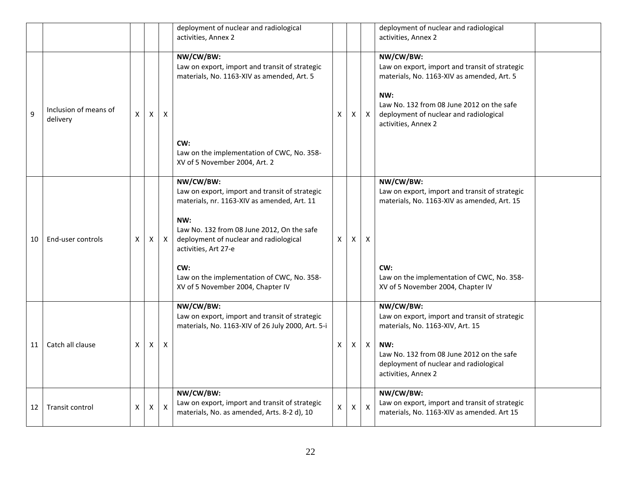|    |                                   |   |   |                           | deployment of nuclear and radiological<br>activities, Annex 2                                                                                                                                                                                                                                                               |              |   |                           | deployment of nuclear and radiological<br>activities, Annex 2                                                                                                                                                                  |  |
|----|-----------------------------------|---|---|---------------------------|-----------------------------------------------------------------------------------------------------------------------------------------------------------------------------------------------------------------------------------------------------------------------------------------------------------------------------|--------------|---|---------------------------|--------------------------------------------------------------------------------------------------------------------------------------------------------------------------------------------------------------------------------|--|
| 9  | Inclusion of means of<br>delivery | X | X | X                         | NW/CW/BW:<br>Law on export, import and transit of strategic<br>materials, No. 1163-XIV as amended, Art. 5                                                                                                                                                                                                                   | X            | X | $\boldsymbol{\mathsf{X}}$ | NW/CW/BW:<br>Law on export, import and transit of strategic<br>materials, No. 1163-XIV as amended, Art. 5<br>NW:<br>Law No. 132 from 08 June 2012 on the safe<br>deployment of nuclear and radiological<br>activities, Annex 2 |  |
|    |                                   |   |   |                           | CW:<br>Law on the implementation of CWC, No. 358-<br>XV of 5 November 2004, Art. 2                                                                                                                                                                                                                                          |              |   |                           |                                                                                                                                                                                                                                |  |
| 10 | End-user controls                 | X | х | $\mathsf{X}$              | NW/CW/BW:<br>Law on export, import and transit of strategic<br>materials, nr. 1163-XIV as amended, Art. 11<br>NW:<br>Law No. 132 from 08 June 2012, On the safe<br>deployment of nuclear and radiological<br>activities, Art 27-e<br>CW:<br>Law on the implementation of CWC, No. 358-<br>XV of 5 November 2004, Chapter IV | X            | X | Х                         | NW/CW/BW:<br>Law on export, import and transit of strategic<br>materials, No. 1163-XIV as amended, Art. 15<br>CW:<br>Law on the implementation of CWC, No. 358-<br>XV of 5 November 2004, Chapter IV                           |  |
| 11 | Catch all clause                  | X | X | $\boldsymbol{\mathsf{X}}$ | NW/CW/BW:<br>Law on export, import and transit of strategic<br>materials, No. 1163-XIV of 26 July 2000, Art. 5-i                                                                                                                                                                                                            | X            | X | $\boldsymbol{\mathsf{X}}$ | NW/CW/BW:<br>Law on export, import and transit of strategic<br>materials, No. 1163-XIV, Art. 15<br>NW:<br>Law No. 132 from 08 June 2012 on the safe<br>deployment of nuclear and radiological<br>activities, Annex 2           |  |
| 12 | <b>Transit control</b>            | X | Χ | $\pmb{\times}$            | NW/CW/BW:<br>Law on export, import and transit of strategic<br>materials, No. as amended, Arts. 8-2 d), 10                                                                                                                                                                                                                  | $\mathsf{X}$ | X | $\boldsymbol{\mathsf{X}}$ | NW/CW/BW:<br>Law on export, import and transit of strategic<br>materials, No. 1163-XIV as amended. Art 15                                                                                                                      |  |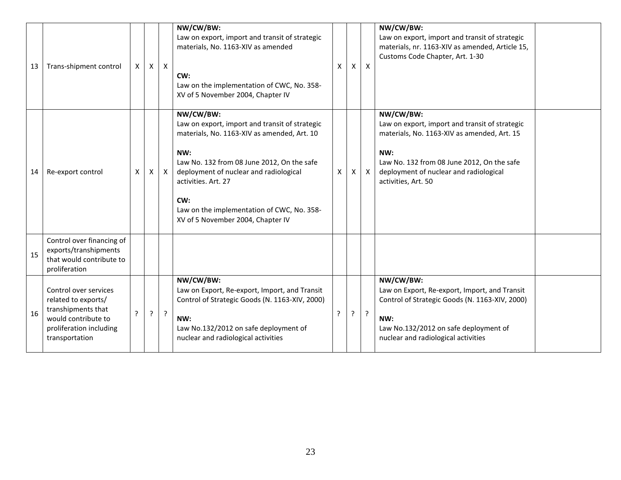| 13 | Trans-shipment control                                                                                                                 | X | $\mathsf{X}$ | $\mathsf{X}$ | NW/CW/BW:<br>Law on export, import and transit of strategic<br>materials, No. 1163-XIV as amended<br>CW:<br>Law on the implementation of CWC, No. 358-<br>XV of 5 November 2004, Chapter IV                                                                                                                                | X | X | $\boldsymbol{\mathsf{X}}$ | NW/CW/BW:<br>Law on export, import and transit of strategic<br>materials, nr. 1163-XIV as amended, Article 15,<br>Customs Code Chapter, Art. 1-30                                                                                |  |
|----|----------------------------------------------------------------------------------------------------------------------------------------|---|--------------|--------------|----------------------------------------------------------------------------------------------------------------------------------------------------------------------------------------------------------------------------------------------------------------------------------------------------------------------------|---|---|---------------------------|----------------------------------------------------------------------------------------------------------------------------------------------------------------------------------------------------------------------------------|--|
| 14 | Re-export control                                                                                                                      | X | X            | $\mathsf{X}$ | NW/CW/BW:<br>Law on export, import and transit of strategic<br>materials, No. 1163-XIV as amended, Art. 10<br>NW:<br>Law No. 132 from 08 June 2012, On the safe<br>deployment of nuclear and radiological<br>activities. Art. 27<br>CW:<br>Law on the implementation of CWC, No. 358-<br>XV of 5 November 2004, Chapter IV | X | X | $\boldsymbol{\mathsf{X}}$ | NW/CW/BW:<br>Law on export, import and transit of strategic<br>materials, No. 1163-XIV as amended, Art. 15<br>NW:<br>Law No. 132 from 08 June 2012, On the safe<br>deployment of nuclear and radiological<br>activities, Art. 50 |  |
| 15 | Control over financing of<br>exports/transhipments<br>that would contribute to<br>proliferation                                        |   |              |              |                                                                                                                                                                                                                                                                                                                            |   |   |                           |                                                                                                                                                                                                                                  |  |
| 16 | Control over services<br>related to exports/<br>transhipments that<br>would contribute to<br>proliferation including<br>transportation | 2 | ?            | ?            | NW/CW/BW:<br>Law on Export, Re-export, Import, and Transit<br>Control of Strategic Goods (N. 1163-XIV, 2000)<br>NW:<br>Law No.132/2012 on safe deployment of<br>nuclear and radiological activities                                                                                                                        | 7 | ? | $\cdot$                   | NW/CW/BW:<br>Law on Export, Re-export, Import, and Transit<br>Control of Strategic Goods (N. 1163-XIV, 2000)<br>NW:<br>Law No.132/2012 on safe deployment of<br>nuclear and radiological activities                              |  |